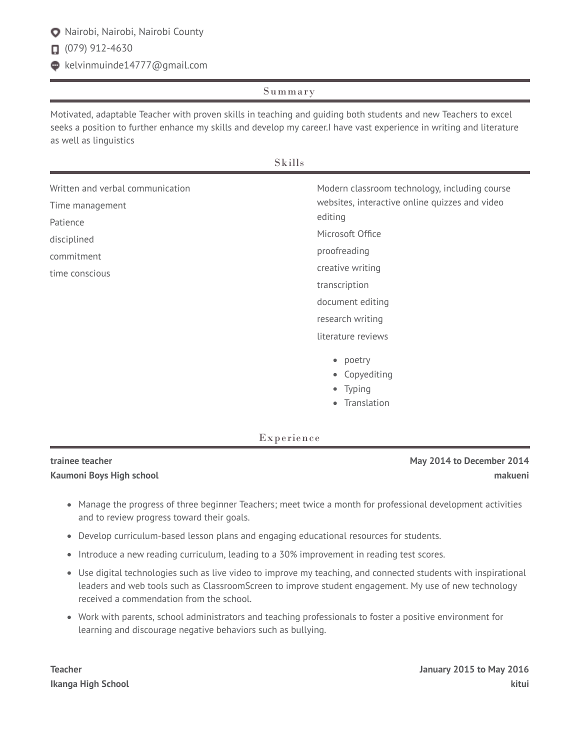## Nairobi, Nairobi, Nairobi County

 $\Box$  (079) 912-4630

kelvinmuinde14777@gmail.com

## Summary

Motivated, adaptable Teacher with proven skills in teaching and guiding both students and new Teachers to excel seeks a position to further enhance my skills and develop my career.I have vast experience in writing and literature as well as linguistics

Skills

| Written and verbal communication<br>Time management<br>Patience<br>disciplined<br>commitment<br>time conscious | Modern classroom technology, including course<br>websites, interactive online quizzes and video<br>editing<br>Microsoft Office<br>proofreading<br>creative writing<br>transcription<br>document editing |
|----------------------------------------------------------------------------------------------------------------|---------------------------------------------------------------------------------------------------------------------------------------------------------------------------------------------------------|
|                                                                                                                | research writing<br>literature reviews                                                                                                                                                                  |
|                                                                                                                | • poetry<br>• Copyediting<br>• Typing                                                                                                                                                                   |

• Translation

## Experience

| trainee teacher          | May 2014 to December 2014 |
|--------------------------|---------------------------|
| Kaumoni Boys High school | makueni                   |

- Manage the progress of three beginner Teachers; meet twice a month for professional development activities and to review progress toward their goals.
- Develop curriculum-based lesson plans and engaging educational resources for students.
- Introduce a new reading curriculum, leading to a 30% improvement in reading test scores.
- Use digital technologies such as live video to improve my teaching, and connected students with inspirational leaders and web tools such as ClassroomScreen to improve student engagement. My use of new technology received a commendation from the school.
- Work with parents, school administrators and teaching professionals to foster a positive environment for learning and discourage negative behaviors such as bullying.

**Teacher January 2015 to May 2016 Ikanga High School kitui**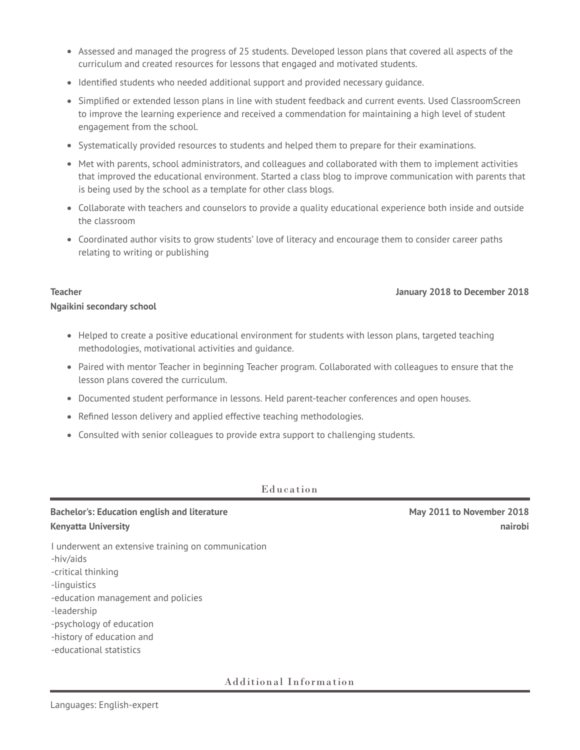- Assessed and managed the progress of 25 students. Developed lesson plans that covered all aspects of the curriculum and created resources for lessons that engaged and motivated students.
- Identified students who needed additional support and provided necessary guidance.
- Simplified or extended lesson plans in line with student feedback and current events. Used ClassroomScreen to improve the learning experience and received a commendation for maintaining a high level of student engagement from the school.
- Systematically provided resources to students and helped them to prepare for their examinations.
- Met with parents, school administrators, and colleagues and collaborated with them to implement activities that improved the educational environment. Started a class blog to improve communication with parents that is being used by the school as a template for other class blogs.
- Collaborate with teachers and counselors to provide a quality educational experience both inside and outside the classroom
- Coordinated author visits to grow students' love of literacy and encourage them to consider career paths relating to writing or publishing

#### **Teacher January 2018 to December 2018**

# **Ngaikini secondary school**

- Helped to create a positive educational environment for students with lesson plans, targeted teaching methodologies, motivational activities and guidance.
- Paired with mentor Teacher in beginning Teacher program. Collaborated with colleagues to ensure that the lesson plans covered the curriculum.
- Documented student performance in lessons. Held parent-teacher conferences and open houses.
- Refined lesson delivery and applied effective teaching methodologies.
- Consulted with senior colleagues to provide extra support to challenging students.

### Education

## **Bachelor's: Education english and literature May 2011 to November 2018 Kenyatta University nairobi**

I underwent an extensive training on communication -hiv/aids -critical thinking -linguistics -education management and policies -leadership -psychology of education -history of education and -educational statistics